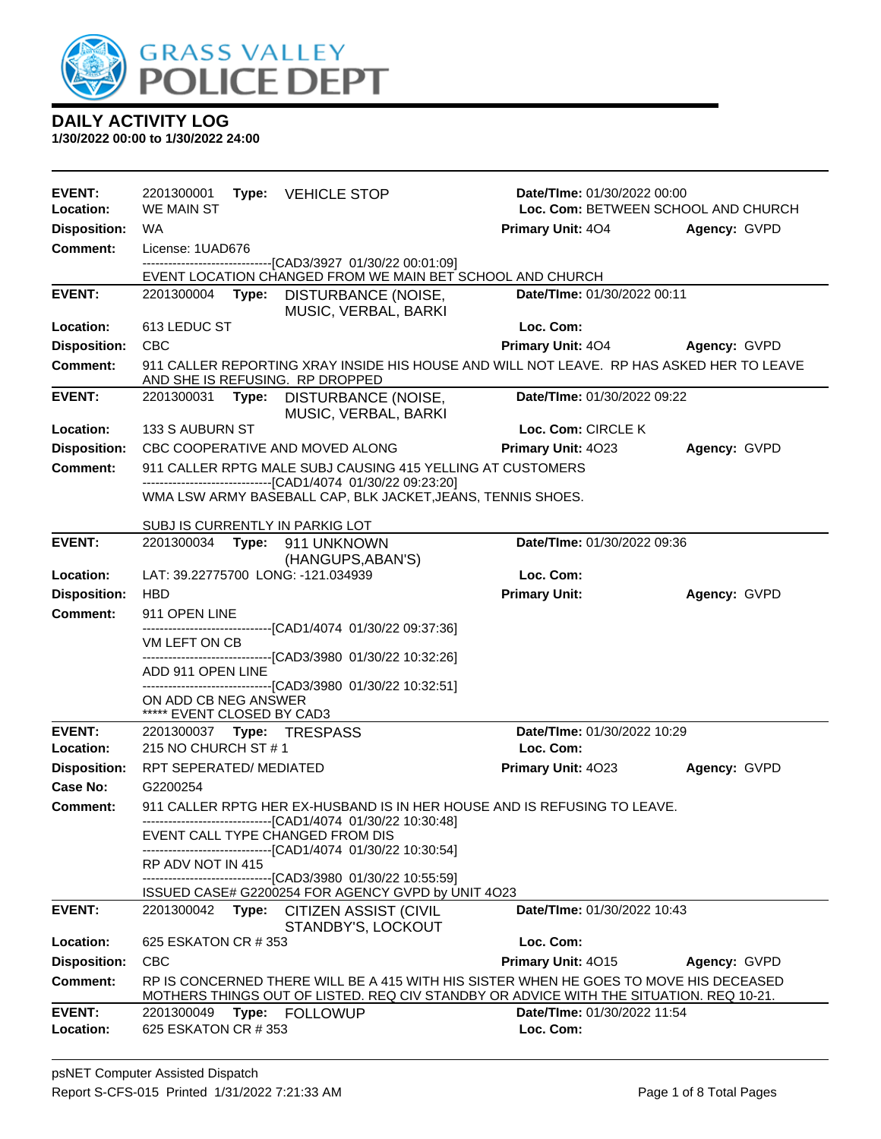

| <b>EVENT:</b><br>Location: | 2201300001<br><b>WE MAIN ST</b>                    |                                                              | Type: VEHICLE STOP                                                                                                                                                              |                      | Date/TIme: 01/30/2022 00:00        | Loc. Com: BETWEEN SCHOOL AND CHURCH |  |  |
|----------------------------|----------------------------------------------------|--------------------------------------------------------------|---------------------------------------------------------------------------------------------------------------------------------------------------------------------------------|----------------------|------------------------------------|-------------------------------------|--|--|
| <b>Disposition:</b>        | WA.                                                |                                                              |                                                                                                                                                                                 |                      | <b>Primary Unit: 404</b>           | Agency: GVPD                        |  |  |
| <b>Comment:</b>            | License: 1UAD676                                   |                                                              |                                                                                                                                                                                 |                      |                                    |                                     |  |  |
|                            |                                                    | -------------------------------[CAD3/3927 01/30/22 00:01:09] |                                                                                                                                                                                 |                      |                                    |                                     |  |  |
|                            |                                                    |                                                              | EVENT LOCATION CHANGED FROM WE MAIN BET SCHOOL AND CHURCH                                                                                                                       |                      |                                    |                                     |  |  |
| <b>EVENT:</b>              |                                                    |                                                              | 2201300004 Type: DISTURBANCE (NOISE,<br>MUSIC, VERBAL, BARKI                                                                                                                    |                      | Date/TIme: 01/30/2022 00:11        |                                     |  |  |
| Location:                  | 613 LEDUC ST                                       |                                                              |                                                                                                                                                                                 | Loc. Com:            |                                    |                                     |  |  |
| <b>Disposition:</b>        | <b>CBC</b>                                         |                                                              |                                                                                                                                                                                 |                      |                                    | Primary Unit: 404 Agency: GVPD      |  |  |
| <b>Comment:</b>            |                                                    |                                                              | 911 CALLER REPORTING XRAY INSIDE HIS HOUSE AND WILL NOT LEAVE. RP HAS ASKED HER TO LEAVE<br>AND SHE IS REFUSING. RP DROPPED                                                     |                      |                                    |                                     |  |  |
| <b>EVENT:</b>              |                                                    |                                                              | 2201300031 Type: DISTURBANCE (NOISE,<br>MUSIC, VERBAL, BARKI                                                                                                                    |                      | Date/TIme: 01/30/2022 09:22        |                                     |  |  |
| Location:                  | 133 S AUBURN ST                                    |                                                              |                                                                                                                                                                                 |                      | Loc. Com: CIRCLE K                 |                                     |  |  |
| <b>Disposition:</b>        |                                                    |                                                              | CBC COOPERATIVE AND MOVED ALONG                                                                                                                                                 |                      | Primary Unit: 4023                 | Agency: GVPD                        |  |  |
| Comment:                   |                                                    |                                                              | 911 CALLER RPTG MALE SUBJ CAUSING 415 YELLING AT CUSTOMERS                                                                                                                      |                      |                                    |                                     |  |  |
|                            |                                                    |                                                              | ------------------------------[CAD1/4074 01/30/22 09:23:20]<br>WMA LSW ARMY BASEBALL CAP, BLK JACKET, JEANS, TENNIS SHOES.                                                      |                      |                                    |                                     |  |  |
|                            | SUBJ IS CURRENTLY IN PARKIG LOT                    |                                                              |                                                                                                                                                                                 |                      |                                    |                                     |  |  |
| <b>EVENT:</b>              |                                                    |                                                              | 2201300034 Type: 911 UNKNOWN<br>(HANGUPS, ABAN'S)                                                                                                                               |                      | Date/TIme: 01/30/2022 09:36        |                                     |  |  |
| Location:                  | LAT: 39.22775700 LONG: -121.034939                 |                                                              |                                                                                                                                                                                 | Loc. Com:            |                                    |                                     |  |  |
| <b>Disposition:</b>        | <b>HBD</b>                                         |                                                              |                                                                                                                                                                                 | <b>Primary Unit:</b> |                                    | Agency: GVPD                        |  |  |
| <b>Comment:</b>            | 911 OPEN LINE                                      |                                                              |                                                                                                                                                                                 |                      |                                    |                                     |  |  |
|                            | VM LEFT ON CB                                      |                                                              | -------------------------[CAD1/4074_01/30/22_09:37:36]                                                                                                                          |                      |                                    |                                     |  |  |
|                            |                                                    |                                                              | ------------------------------[CAD3/3980 01/30/22 10:32:26]                                                                                                                     |                      |                                    |                                     |  |  |
|                            | ADD 911 OPEN LINE                                  |                                                              |                                                                                                                                                                                 |                      |                                    |                                     |  |  |
|                            | ON ADD CB NEG ANSWER<br>***** EVENT CLOSED BY CAD3 |                                                              | -------------------------------[CAD3/3980_01/30/22_10:32:51]                                                                                                                    |                      |                                    |                                     |  |  |
| <b>EVENT:</b>              |                                                    |                                                              |                                                                                                                                                                                 |                      | Date/TIme: 01/30/2022 10:29        |                                     |  |  |
| Location:                  | 215 NO CHURCH ST #1                                |                                                              |                                                                                                                                                                                 | Loc. Com:            |                                    |                                     |  |  |
| <b>Disposition:</b>        | RPT SEPERATED/ MEDIATED                            |                                                              |                                                                                                                                                                                 |                      | Primary Unit: 4023                 | Agency: GVPD                        |  |  |
| Case No:                   | G2200254                                           |                                                              |                                                                                                                                                                                 |                      |                                    |                                     |  |  |
| <b>Comment:</b>            |                                                    |                                                              | 911 CALLER RPTG HER EX-HUSBAND IS IN HER HOUSE AND IS REFUSING TO LEAVE.                                                                                                        |                      |                                    |                                     |  |  |
|                            |                                                    |                                                              | ------------------------------[CAD1/4074 01/30/22 10:30:48]<br>EVENT CALL TYPE CHANGED FROM DIS                                                                                 |                      |                                    |                                     |  |  |
|                            | RP ADV NOT IN 415                                  |                                                              | ----------------------------[CAD1/4074_01/30/22 10:30:54]                                                                                                                       |                      |                                    |                                     |  |  |
|                            |                                                    |                                                              | ----------------------------[CAD3/3980_01/30/22_10:55:59]                                                                                                                       |                      |                                    |                                     |  |  |
| <b>EVENT:</b>              | 2201300042                                         |                                                              | ISSUED CASE# G2200254 FOR AGENCY GVPD by UNIT 4O23<br>Type: CITIZEN ASSIST (CIVIL                                                                                               |                      | <b>Date/Time: 01/30/2022 10:43</b> |                                     |  |  |
|                            |                                                    |                                                              | STANDBY'S, LOCKOUT                                                                                                                                                              |                      |                                    |                                     |  |  |
| Location:                  | 625 ESKATON CR # 353                               |                                                              |                                                                                                                                                                                 | Loc. Com:            |                                    |                                     |  |  |
| <b>Disposition:</b>        | <b>CBC</b>                                         |                                                              |                                                                                                                                                                                 |                      | Primary Unit: 4015                 | Agency: GVPD                        |  |  |
| <b>Comment:</b>            |                                                    |                                                              | RP IS CONCERNED THERE WILL BE A 415 WITH HIS SISTER WHEN HE GOES TO MOVE HIS DECEASED<br>MOTHERS THINGS OUT OF LISTED. REQ CIV STANDBY OR ADVICE WITH THE SITUATION. REQ 10-21. |                      |                                    |                                     |  |  |
| <b>EVENT:</b>              | 2201300049                                         |                                                              | Type: FOLLOWUP                                                                                                                                                                  |                      | Date/TIme: 01/30/2022 11:54        |                                     |  |  |
| Location:                  | 625 ESKATON CR # 353                               |                                                              |                                                                                                                                                                                 | Loc. Com:            |                                    |                                     |  |  |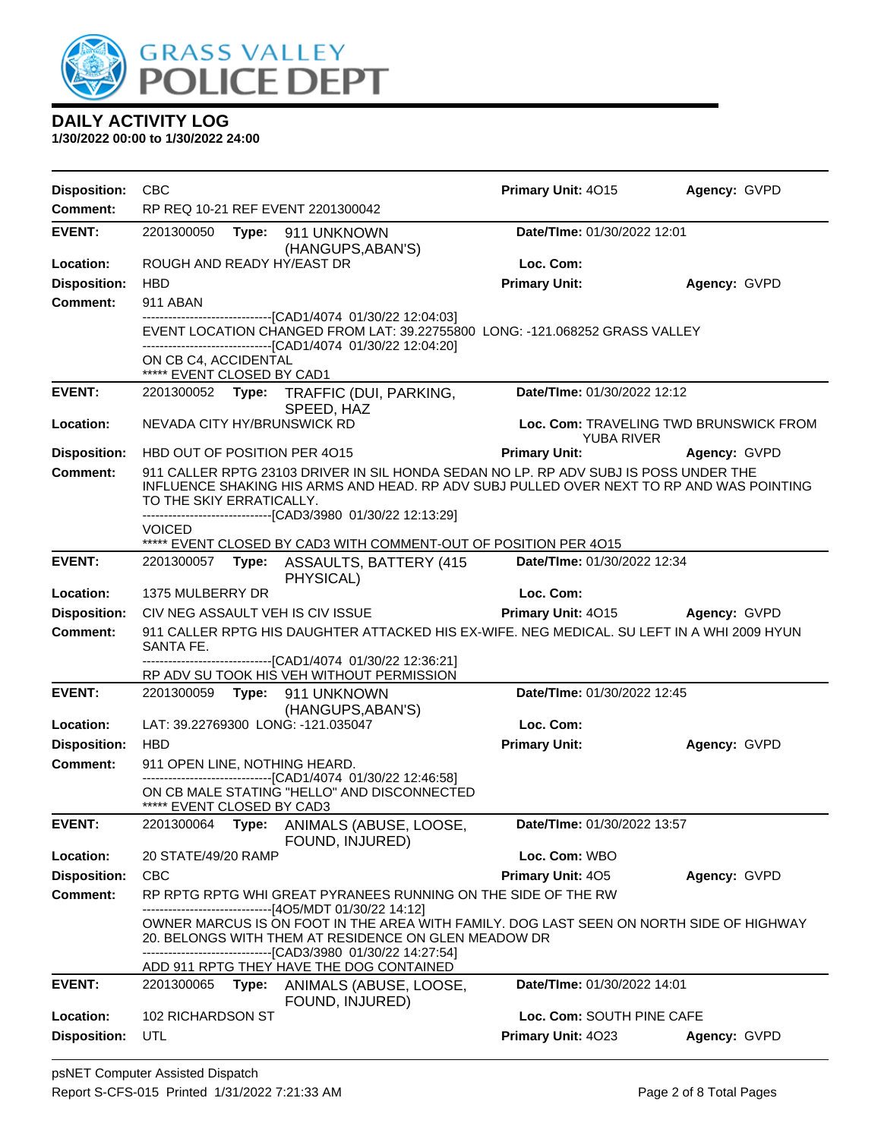

| <b>Disposition:</b> | <b>CBC</b>                                                                                                                                                                                                                                                                                                               |                                                                                                                                                                                                                                                  | <b>Primary Unit: 4015</b>   | Agency: GVPD                           |  |  |
|---------------------|--------------------------------------------------------------------------------------------------------------------------------------------------------------------------------------------------------------------------------------------------------------------------------------------------------------------------|--------------------------------------------------------------------------------------------------------------------------------------------------------------------------------------------------------------------------------------------------|-----------------------------|----------------------------------------|--|--|
| <b>Comment:</b>     | RP REQ 10-21 REF EVENT 2201300042                                                                                                                                                                                                                                                                                        |                                                                                                                                                                                                                                                  |                             |                                        |  |  |
| <b>EVENT:</b>       |                                                                                                                                                                                                                                                                                                                          | 2201300050 Type: 911 UNKNOWN<br>(HANGUPS, ABAN'S)                                                                                                                                                                                                |                             | Date/TIme: 01/30/2022 12:01            |  |  |
| Location:           | ROUGH AND READY HY/EAST DR                                                                                                                                                                                                                                                                                               |                                                                                                                                                                                                                                                  | Loc. Com:                   |                                        |  |  |
| <b>Disposition:</b> | <b>HBD</b>                                                                                                                                                                                                                                                                                                               |                                                                                                                                                                                                                                                  | <b>Primary Unit:</b>        | Agency: GVPD                           |  |  |
| <b>Comment:</b>     | 911 ABAN                                                                                                                                                                                                                                                                                                                 |                                                                                                                                                                                                                                                  |                             |                                        |  |  |
|                     |                                                                                                                                                                                                                                                                                                                          | -------------------------------[CAD1/4074 01/30/22 12:04:03]<br>EVENT LOCATION CHANGED FROM LAT: 39.22755800 LONG: -121.068252 GRASS VALLEY<br>---------------------------------[CAD1/4074 01/30/22 12:04:20]                                    |                             |                                        |  |  |
|                     | ON CB C4, ACCIDENTAL                                                                                                                                                                                                                                                                                                     |                                                                                                                                                                                                                                                  |                             |                                        |  |  |
| <b>EVENT:</b>       | ***** EVENT CLOSED BY CAD1                                                                                                                                                                                                                                                                                               |                                                                                                                                                                                                                                                  | Date/TIme: 01/30/2022 12:12 |                                        |  |  |
|                     |                                                                                                                                                                                                                                                                                                                          | 2201300052 Type: TRAFFIC (DUI, PARKING,<br>SPEED, HAZ                                                                                                                                                                                            |                             |                                        |  |  |
| Location:           | NEVADA CITY HY/BRUNSWICK RD                                                                                                                                                                                                                                                                                              |                                                                                                                                                                                                                                                  | <b>YUBA RIVER</b>           | Loc. Com: TRAVELING TWD BRUNSWICK FROM |  |  |
| <b>Disposition:</b> | HBD OUT OF POSITION PER 4015                                                                                                                                                                                                                                                                                             |                                                                                                                                                                                                                                                  | <b>Primary Unit:</b>        | Agency: GVPD                           |  |  |
| <b>Comment:</b>     | TO THE SKIY ERRATICALLY.                                                                                                                                                                                                                                                                                                 | 911 CALLER RPTG 23103 DRIVER IN SIL HONDA SEDAN NO LP. RP ADV SUBJ IS POSS UNDER THE<br>INFLUENCE SHAKING HIS ARMS AND HEAD. RP ADV SUBJ PULLED OVER NEXT TO RP AND WAS POINTING<br>-------------------------------[CAD3/3980 01/30/22 12:13:29] |                             |                                        |  |  |
|                     | VOICED                                                                                                                                                                                                                                                                                                                   |                                                                                                                                                                                                                                                  |                             |                                        |  |  |
|                     |                                                                                                                                                                                                                                                                                                                          | ***** EVENT CLOSED BY CAD3 WITH COMMENT-OUT OF POSITION PER 4015                                                                                                                                                                                 |                             |                                        |  |  |
| <b>EVENT:</b>       |                                                                                                                                                                                                                                                                                                                          | 2201300057    Type: ASSAULTS, BATTERY (415<br>PHYSICAL)                                                                                                                                                                                          | Date/TIme: 01/30/2022 12:34 |                                        |  |  |
| Location:           | 1375 MULBERRY DR                                                                                                                                                                                                                                                                                                         |                                                                                                                                                                                                                                                  | Loc. Com:                   |                                        |  |  |
| <b>Disposition:</b> | CIV NEG ASSAULT VEH IS CIV ISSUE                                                                                                                                                                                                                                                                                         |                                                                                                                                                                                                                                                  | Primary Unit: 4015          | <b>Agency: GVPD</b>                    |  |  |
| <b>Comment:</b>     | SANTA FE.                                                                                                                                                                                                                                                                                                                | 911 CALLER RPTG HIS DAUGHTER ATTACKED HIS EX-WIFE. NEG MEDICAL. SU LEFT IN A WHI 2009 HYUN                                                                                                                                                       |                             |                                        |  |  |
|                     |                                                                                                                                                                                                                                                                                                                          | ------------------------------[CAD1/4074 01/30/22 12:36:21]<br>RP ADV SU TOOK HIS VEH WITHOUT PERMISSION                                                                                                                                         |                             |                                        |  |  |
| <b>EVENT:</b>       |                                                                                                                                                                                                                                                                                                                          | 2201300059 Type: 911 UNKNOWN                                                                                                                                                                                                                     | Date/TIme: 01/30/2022 12:45 |                                        |  |  |
|                     |                                                                                                                                                                                                                                                                                                                          | (HANGUPS, ABAN'S)                                                                                                                                                                                                                                |                             |                                        |  |  |
| Location:           | LAT: 39.22769300 LONG: -121.035047                                                                                                                                                                                                                                                                                       |                                                                                                                                                                                                                                                  | Loc. Com:                   |                                        |  |  |
| <b>Disposition:</b> | <b>HBD</b>                                                                                                                                                                                                                                                                                                               |                                                                                                                                                                                                                                                  | <b>Primary Unit:</b>        | Agency: GVPD                           |  |  |
| <b>Comment:</b>     | 911 OPEN LINE, NOTHING HEARD.                                                                                                                                                                                                                                                                                            |                                                                                                                                                                                                                                                  |                             |                                        |  |  |
|                     | ***** EVENT CLOSED BY CAD3                                                                                                                                                                                                                                                                                               | ---------------------------------[CAD1/4074 01/30/22 12:46:58]<br>ON CB MALE STATING "HELLO" AND DISCONNECTED                                                                                                                                    |                             |                                        |  |  |
| <b>EVENT:</b>       |                                                                                                                                                                                                                                                                                                                          | 2201300064 Type: ANIMALS (ABUSE, LOOSE, Date/Time: 01/30/2022 13:57<br>FOUND, INJURED)                                                                                                                                                           |                             |                                        |  |  |
| Location:           | 20 STATE/49/20 RAMP                                                                                                                                                                                                                                                                                                      |                                                                                                                                                                                                                                                  | Loc. Com: WBO               |                                        |  |  |
| <b>Disposition:</b> | <b>CBC</b>                                                                                                                                                                                                                                                                                                               |                                                                                                                                                                                                                                                  | Primary Unit: 405           | Agency: GVPD                           |  |  |
| <b>Comment:</b>     |                                                                                                                                                                                                                                                                                                                          | RP RPTG RPTG WHI GREAT PYRANEES RUNNING ON THE SIDE OF THE RW                                                                                                                                                                                    |                             |                                        |  |  |
|                     | --------------------------------[4O5/MDT 01/30/22 14:12]<br>OWNER MARCUS IS ON FOOT IN THE AREA WITH FAMILY. DOG LAST SEEN ON NORTH SIDE OF HIGHWAY<br>20. BELONGS WITH THEM AT RESIDENCE ON GLEN MEADOW DR<br>--------------------------------[CAD3/3980 01/30/22 14:27:54]<br>ADD 911 RPTG THEY HAVE THE DOG CONTAINED |                                                                                                                                                                                                                                                  |                             |                                        |  |  |
| <b>EVENT:</b>       |                                                                                                                                                                                                                                                                                                                          | 2201300065 Type: ANIMALS (ABUSE, LOOSE,<br>FOUND, INJURED)                                                                                                                                                                                       | Date/TIme: 01/30/2022 14:01 |                                        |  |  |
| Location:           | 102 RICHARDSON ST                                                                                                                                                                                                                                                                                                        |                                                                                                                                                                                                                                                  | Loc. Com: SOUTH PINE CAFE   |                                        |  |  |
| <b>Disposition:</b> | UTL                                                                                                                                                                                                                                                                                                                      |                                                                                                                                                                                                                                                  | Primary Unit: 4023          | Agency: GVPD                           |  |  |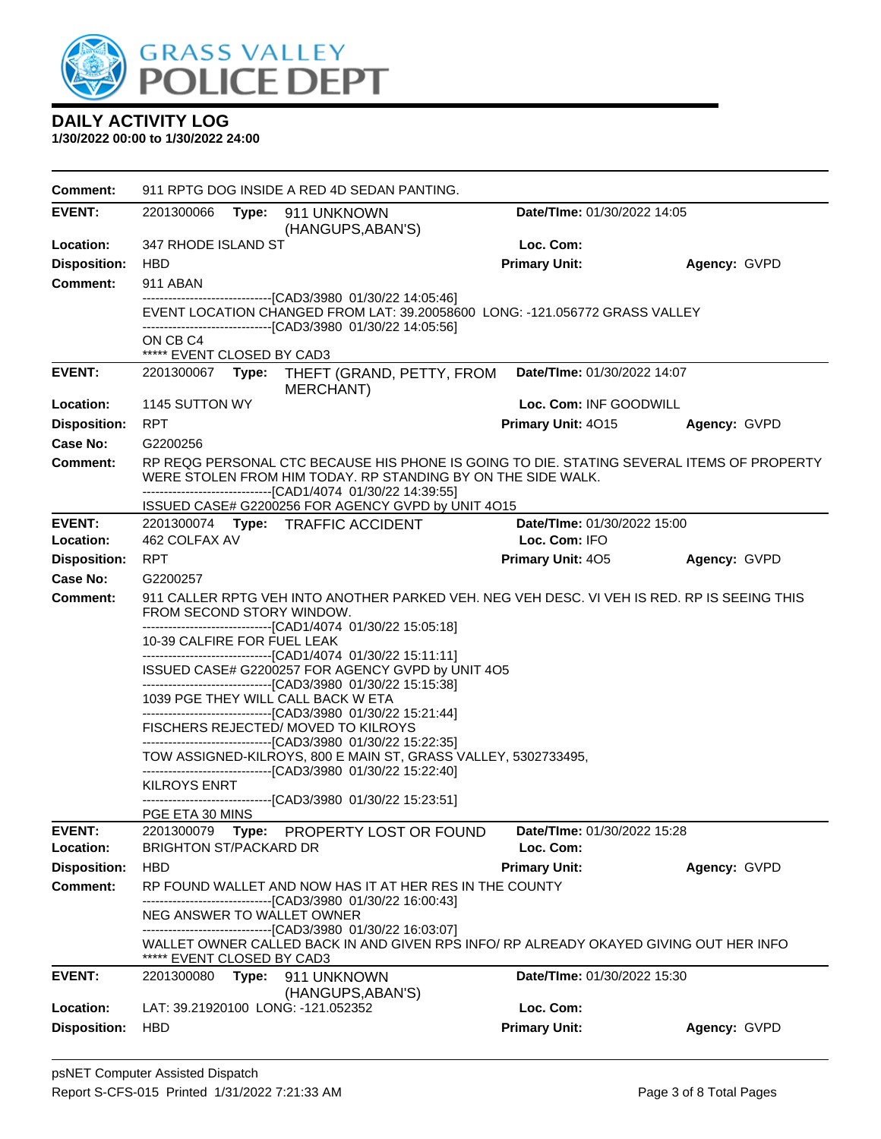

| <b>Comment:</b>      | 911 RPTG DOG INSIDE A RED 4D SEDAN PANTING. |                                                                                                                                                                                                                          |                             |              |  |  |
|----------------------|---------------------------------------------|--------------------------------------------------------------------------------------------------------------------------------------------------------------------------------------------------------------------------|-----------------------------|--------------|--|--|
| <b>EVENT:</b>        | 2201300066                                  | Type: 911 UNKNOWN<br>(HANGUPS, ABAN'S)                                                                                                                                                                                   | Date/TIme: 01/30/2022 14:05 |              |  |  |
| Location:            | 347 RHODE ISLAND ST                         |                                                                                                                                                                                                                          | Loc. Com:                   |              |  |  |
| <b>Disposition:</b>  | HBD                                         |                                                                                                                                                                                                                          | <b>Primary Unit:</b>        | Agency: GVPD |  |  |
| <b>Comment:</b>      | 911 ABAN                                    |                                                                                                                                                                                                                          |                             |              |  |  |
|                      |                                             | -------------------------------[CAD3/3980 01/30/22 14:05:46]<br>EVENT LOCATION CHANGED FROM LAT: 39.20058600 LONG: -121.056772 GRASS VALLEY<br>-----------------[CAD3/3980_01/30/22 14:05:56]                            |                             |              |  |  |
|                      | ON CB C4<br>***** EVENT CLOSED BY CAD3      |                                                                                                                                                                                                                          |                             |              |  |  |
| <b>EVENT:</b>        | 2201300067<br>Type:                         | THEFT (GRAND, PETTY, FROM<br><b>MERCHANT)</b>                                                                                                                                                                            | Date/TIme: 01/30/2022 14:07 |              |  |  |
| Location:            | 1145 SUTTON WY                              |                                                                                                                                                                                                                          | Loc. Com: INF GOODWILL      |              |  |  |
| <b>Disposition:</b>  | <b>RPT</b>                                  |                                                                                                                                                                                                                          | <b>Primary Unit: 4015</b>   | Agency: GVPD |  |  |
| Case No:             | G2200256                                    |                                                                                                                                                                                                                          |                             |              |  |  |
| <b>Comment:</b>      |                                             | RP REQG PERSONAL CTC BECAUSE HIS PHONE IS GOING TO DIE. STATING SEVERAL ITEMS OF PROPERTY<br>WERE STOLEN FROM HIM TODAY. RP STANDING BY ON THE SIDE WALK.<br>------------------------------[CAD1/4074 01/30/22 14:39:55] |                             |              |  |  |
|                      |                                             | ISSUED CASE# G2200256 FOR AGENCY GVPD by UNIT 4O15                                                                                                                                                                       |                             |              |  |  |
| <b>EVENT:</b>        |                                             | 2201300074 Type: TRAFFIC ACCIDENT                                                                                                                                                                                        | Date/TIme: 01/30/2022 15:00 |              |  |  |
| Location:            | 462 COLFAX AV                               |                                                                                                                                                                                                                          | Loc. Com: IFO               |              |  |  |
| <b>Disposition:</b>  | <b>RPT</b>                                  |                                                                                                                                                                                                                          | <b>Primary Unit: 405</b>    | Agency: GVPD |  |  |
| Case No:<br>Comment: | G2200257                                    | 911 CALLER RPTG VEH INTO ANOTHER PARKED VEH. NEG VEH DESC. VI VEH IS RED. RP IS SEEING THIS                                                                                                                              |                             |              |  |  |
|                      | FROM SECOND STORY WINDOW.                   |                                                                                                                                                                                                                          |                             |              |  |  |
|                      |                                             | -------------------------------[CAD1/4074 01/30/22 15:05:18]                                                                                                                                                             |                             |              |  |  |
|                      | 10-39 CALFIRE FOR FUEL LEAK                 | ------------------------------[CAD1/4074 01/30/22 15:11:11]                                                                                                                                                              |                             |              |  |  |
|                      |                                             | ISSUED CASE# G2200257 FOR AGENCY GVPD by UNIT 4O5                                                                                                                                                                        |                             |              |  |  |
|                      | 1039 PGE THEY WILL CALL BACK W ETA          | --------------------------------[CAD3/3980 01/30/22 15:15:38]                                                                                                                                                            |                             |              |  |  |
|                      |                                             | ------------------------------[CAD3/3980 01/30/22 15:21:44]<br>FISCHERS REJECTED/ MOVED TO KILROYS                                                                                                                       |                             |              |  |  |
|                      |                                             | -------------------------------[CAD3/3980 01/30/22 15:22:35]                                                                                                                                                             |                             |              |  |  |
|                      |                                             | TOW ASSIGNED-KILROYS, 800 E MAIN ST, GRASS VALLEY, 5302733495,<br>---------------------------------[CAD3/3980 01/30/22 15:22:40]                                                                                         |                             |              |  |  |
|                      | <b>KILROYS ENRT</b>                         |                                                                                                                                                                                                                          |                             |              |  |  |
|                      | PGE ETA 30 MINS                             | ---------------------------[CAD3/3980_01/30/22 15:23:51]                                                                                                                                                                 |                             |              |  |  |
| <b>EVENT:</b>        | 2201300079                                  | Type: PROPERTY LOST OR FOUND                                                                                                                                                                                             | Date/TIme: 01/30/2022 15:28 |              |  |  |
| Location:            | <b>BRIGHTON ST/PACKARD DR</b>               |                                                                                                                                                                                                                          | Loc. Com:                   |              |  |  |
| <b>Disposition:</b>  | <b>HBD</b>                                  |                                                                                                                                                                                                                          | <b>Primary Unit:</b>        | Agency: GVPD |  |  |
| <b>Comment:</b>      |                                             | RP FOUND WALLET AND NOW HAS IT AT HER RES IN THE COUNTY                                                                                                                                                                  |                             |              |  |  |
|                      | NEG ANSWER TO WALLET OWNER                  | ------------------------[CAD3/3980_01/30/22_16:00:43]                                                                                                                                                                    |                             |              |  |  |
|                      | ***** EVENT CLOSED BY CAD3                  | -------------------------------[CAD3/3980 01/30/22 16:03:07]<br>WALLET OWNER CALLED BACK IN AND GIVEN RPS INFO/ RP ALREADY OKAYED GIVING OUT HER INFO                                                                    |                             |              |  |  |
| <b>EVENT:</b>        | 2201300080                                  | Type: 911 UNKNOWN                                                                                                                                                                                                        | Date/TIme: 01/30/2022 15:30 |              |  |  |
|                      |                                             | (HANGUPS, ABAN'S)                                                                                                                                                                                                        |                             |              |  |  |
| Location:            | LAT: 39.21920100 LONG: -121.052352          |                                                                                                                                                                                                                          | Loc. Com:                   |              |  |  |
| <b>Disposition:</b>  | <b>HBD</b>                                  |                                                                                                                                                                                                                          | <b>Primary Unit:</b>        | Agency: GVPD |  |  |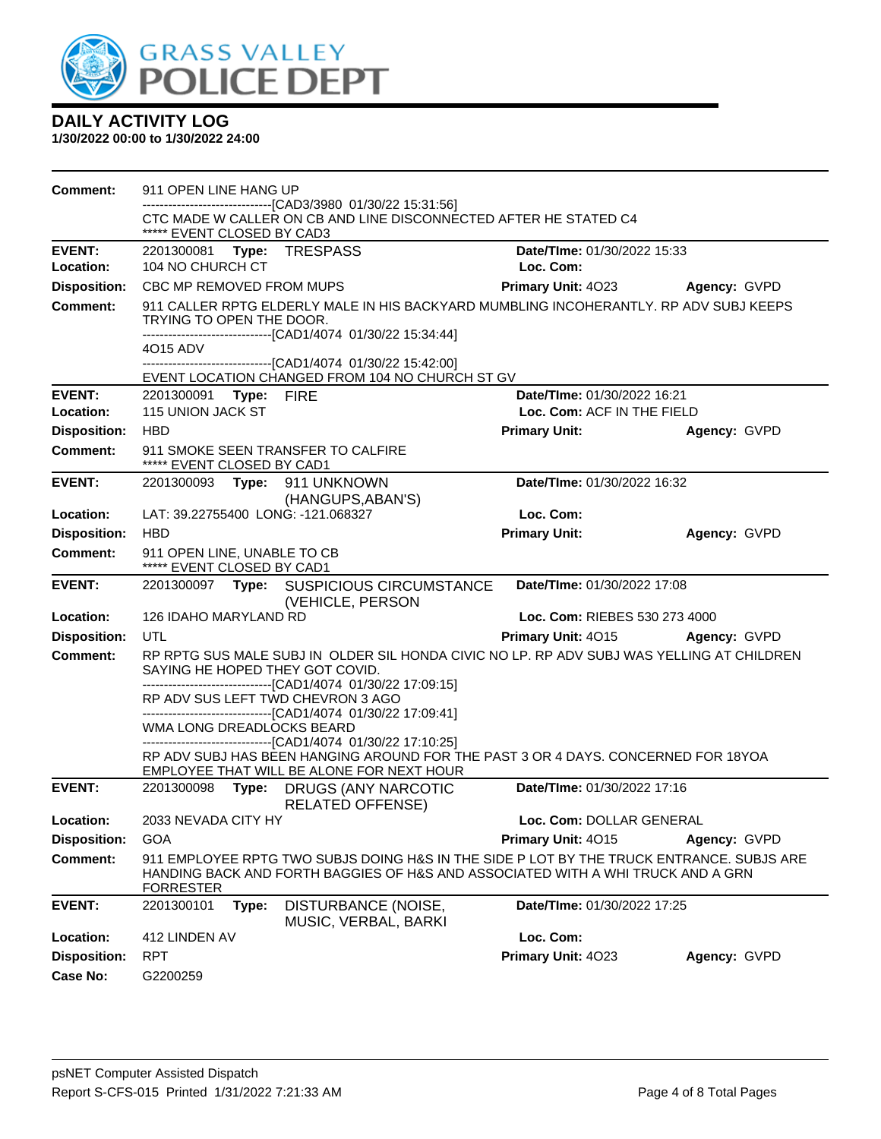

| <b>Comment:</b>     | 911 OPEN LINE HANG UP                                                                                                                                                                           |                               |              |  |  |
|---------------------|-------------------------------------------------------------------------------------------------------------------------------------------------------------------------------------------------|-------------------------------|--------------|--|--|
|                     | ------------------------[CAD3/3980 01/30/22 15:31:56]<br>CTC MADE W CALLER ON CB AND LINE DISCONNECTED AFTER HE STATED C4                                                                       |                               |              |  |  |
|                     | ***** EVENT CLOSED BY CAD3                                                                                                                                                                      |                               |              |  |  |
| <b>EVENT:</b>       | 2201300081 Type: TRESPASS                                                                                                                                                                       | Date/TIme: 01/30/2022 15:33   |              |  |  |
| <b>Location:</b>    | 104 NO CHURCH CT                                                                                                                                                                                | Loc. Com:                     |              |  |  |
| <b>Disposition:</b> | CBC MP REMOVED FROM MUPS                                                                                                                                                                        | <b>Primary Unit: 4023</b>     | Agency: GVPD |  |  |
| <b>Comment:</b>     | 911 CALLER RPTG ELDERLY MALE IN HIS BACKYARD MUMBLING INCOHERANTLY. RP ADV SUBJ KEEPS<br>TRYING TO OPEN THE DOOR.<br>------------------------------[CAD1/4074 01/30/22 15:34:44]<br>4015 ADV    |                               |              |  |  |
|                     | ------------------------------[CAD1/4074 01/30/22 15:42:00]<br>EVENT LOCATION CHANGED FROM 104 NO CHURCH ST GV                                                                                  |                               |              |  |  |
| <b>EVENT:</b>       | 2201300091 Type: FIRE                                                                                                                                                                           | Date/TIme: 01/30/2022 16:21   |              |  |  |
| Location:           | 115 UNION JACK ST                                                                                                                                                                               | Loc. Com: ACF IN THE FIELD    |              |  |  |
| <b>Disposition:</b> | <b>HBD</b>                                                                                                                                                                                      | <b>Primary Unit:</b>          | Agency: GVPD |  |  |
| <b>Comment:</b>     | 911 SMOKE SEEN TRANSFER TO CALFIRE<br>***** EVENT CLOSED BY CAD1                                                                                                                                |                               |              |  |  |
| <b>EVENT:</b>       | 2201300093 Type: 911 UNKNOWN<br>(HANGUPS, ABAN'S)                                                                                                                                               | Date/TIme: 01/30/2022 16:32   |              |  |  |
| Location:           | LAT: 39.22755400 LONG: -121.068327                                                                                                                                                              | Loc. Com:                     |              |  |  |
| <b>Disposition:</b> | <b>HBD</b>                                                                                                                                                                                      | <b>Primary Unit:</b>          | Agency: GVPD |  |  |
| <b>Comment:</b>     | 911 OPEN LINE, UNABLE TO CB<br>***** EVENT CLOSED BY CAD1                                                                                                                                       |                               |              |  |  |
| <b>EVENT:</b>       | 2201300097 Type: SUSPICIOUS CIRCUMSTANCE<br>(VEHICLE, PERSON                                                                                                                                    | Date/TIme: 01/30/2022 17:08   |              |  |  |
| Location:           | 126 IDAHO MARYLAND RD                                                                                                                                                                           | Loc. Com: RIEBES 530 273 4000 |              |  |  |
| <b>Disposition:</b> | UTL                                                                                                                                                                                             | Primary Unit: 4015            | Agency: GVPD |  |  |
| <b>Comment:</b>     | RP RPTG SUS MALE SUBJ IN OLDER SIL HONDA CIVIC NO LP. RP ADV SUBJ WAS YELLING AT CHILDREN<br>SAYING HE HOPED THEY GOT COVID.<br>-------------------------------[CAD1/4074_01/30/22_17:09:15]    |                               |              |  |  |
|                     | RP ADV SUS LEFT TWD CHEVRON 3 AGO<br>-------------------------------[CAD1/4074_01/30/22 17:09:41]<br>WMA LONG DREADLOCKS BEARD                                                                  |                               |              |  |  |
|                     | ------------------------------[CAD1/4074 01/30/22 17:10:25]<br>RP ADV SUBJ HAS BEEN HANGING AROUND FOR THE PAST 3 OR 4 DAYS. CONCERNED FOR 18YOA<br>EMPLOYEE THAT WILL BE ALONE FOR NEXT HOUR   |                               |              |  |  |
| <b>EVENT:</b>       | 2201300098 Type: DRUGS (ANY NARCOTIC<br><b>RELATED OFFENSE)</b>                                                                                                                                 | Date/TIme: 01/30/2022 17:16   |              |  |  |
| Location:           | 2033 NEVADA CITY HY                                                                                                                                                                             | Loc. Com: DOLLAR GENERAL      |              |  |  |
| <b>Disposition:</b> | <b>GOA</b>                                                                                                                                                                                      | Primary Unit: 4015            | Agency: GVPD |  |  |
| <b>Comment:</b>     | 911 EMPLOYEE RPTG TWO SUBJS DOING H&S IN THE SIDE P LOT BY THE TRUCK ENTRANCE. SUBJS ARE<br>HANDING BACK AND FORTH BAGGIES OF H&S AND ASSOCIATED WITH A WHI TRUCK AND A GRN<br><b>FORRESTER</b> |                               |              |  |  |
| <b>EVENT:</b>       | 2201300101<br>Type:<br>DISTURBANCE (NOISE,<br>MUSIC, VERBAL, BARKI                                                                                                                              | Date/TIme: 01/30/2022 17:25   |              |  |  |
| Location:           | 412 LINDEN AV                                                                                                                                                                                   | Loc. Com:                     |              |  |  |
| <b>Disposition:</b> | <b>RPT</b>                                                                                                                                                                                      | Primary Unit: 4023            | Agency: GVPD |  |  |
| <b>Case No:</b>     | G2200259                                                                                                                                                                                        |                               |              |  |  |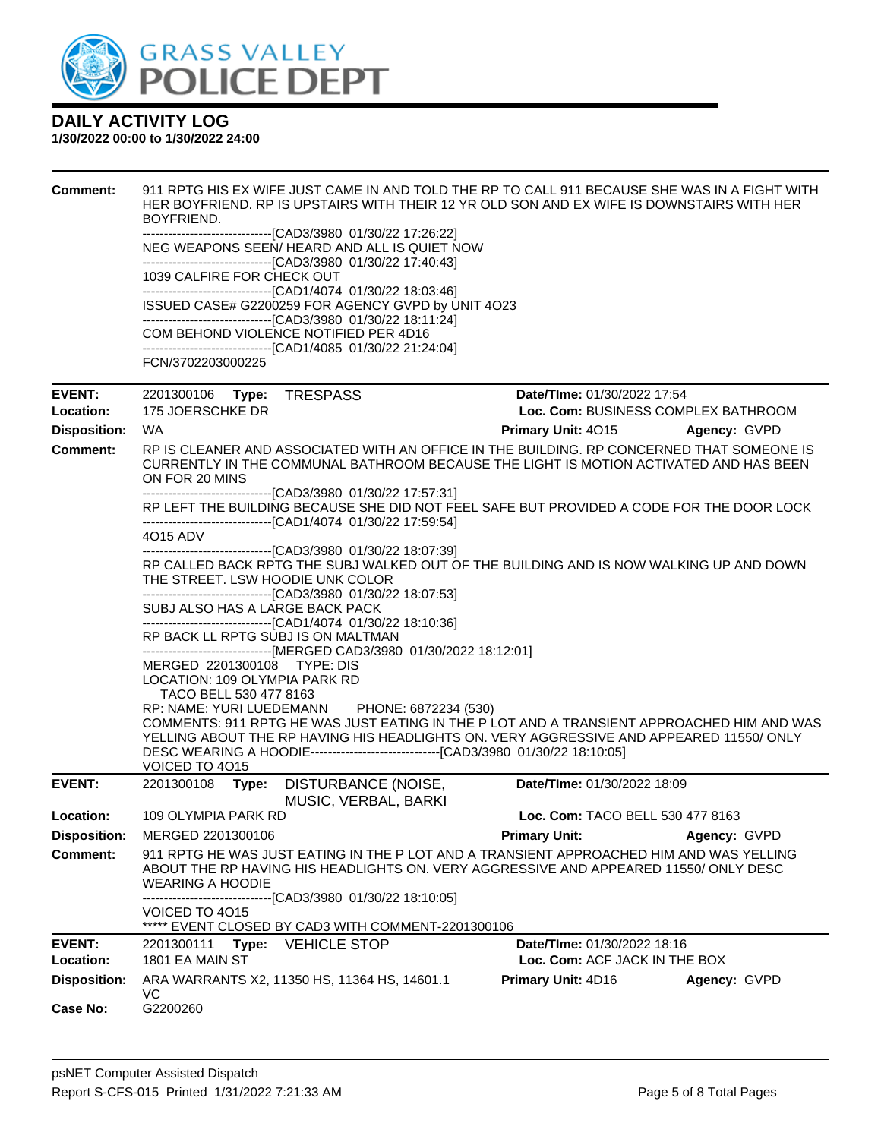

| <b>Comment:</b>     | 911 RPTG HIS EX WIFE JUST CAME IN AND TOLD THE RP TO CALL 911 BECAUSE SHE WAS IN A FIGHT WITH<br>HER BOYFRIEND. RP IS UPSTAIRS WITH THEIR 12 YR OLD SON AND EX WIFE IS DOWNSTAIRS WITH HER<br>BOYFRIEND.                                                                                                                   |                                     |              |  |  |  |  |
|---------------------|----------------------------------------------------------------------------------------------------------------------------------------------------------------------------------------------------------------------------------------------------------------------------------------------------------------------------|-------------------------------------|--------------|--|--|--|--|
|                     | --------------------------------[CAD3/3980 01/30/22 17:26:22]<br>NEG WEAPONS SEEN/HEARD AND ALL IS QUIET NOW<br>--------------------------------[CAD3/3980 01/30/22 17:40:43]                                                                                                                                              |                                     |              |  |  |  |  |
|                     | 1039 CALFIRE FOR CHECK OUT<br>-------------------------------[CAD1/4074 01/30/22 18:03:46]<br>ISSUED CASE# G2200259 FOR AGENCY GVPD by UNIT 4O23<br>--------------------------------[CAD3/3980 01/30/22 18:11:24]<br>COM BEHOND VIOLENCE NOTIFIED PER 4D16<br>-------------------------------[CAD1/4085 01/30/22 21:24:04] |                                     |              |  |  |  |  |
|                     |                                                                                                                                                                                                                                                                                                                            |                                     |              |  |  |  |  |
|                     |                                                                                                                                                                                                                                                                                                                            |                                     |              |  |  |  |  |
|                     | FCN/3702203000225                                                                                                                                                                                                                                                                                                          |                                     |              |  |  |  |  |
| <b>EVENT:</b>       | 2201300106 Type:<br><b>TRESPASS</b>                                                                                                                                                                                                                                                                                        | Date/TIme: 01/30/2022 17:54         |              |  |  |  |  |
| Location:           | 175 JOERSCHKE DR                                                                                                                                                                                                                                                                                                           | Loc. Com: BUSINESS COMPLEX BATHROOM |              |  |  |  |  |
| <b>Disposition:</b> | WA.                                                                                                                                                                                                                                                                                                                        | Primary Unit: 4015                  | Agency: GVPD |  |  |  |  |
| <b>Comment:</b>     | RP IS CLEANER AND ASSOCIATED WITH AN OFFICE IN THE BUILDING. RP CONCERNED THAT SOMEONE IS<br>CURRENTLY IN THE COMMUNAL BATHROOM BECAUSE THE LIGHT IS MOTION ACTIVATED AND HAS BEEN<br>ON FOR 20 MINS                                                                                                                       |                                     |              |  |  |  |  |
|                     | ---------------------------------[CAD3/3980 01/30/22 17:57:31]<br>RP LEFT THE BUILDING BECAUSE SHE DID NOT FEEL SAFE BUT PROVIDED A CODE FOR THE DOOR LOCK<br>------------------------------[CAD1/4074 01/30/22 17:59:54]                                                                                                  |                                     |              |  |  |  |  |
|                     | 4015 ADV                                                                                                                                                                                                                                                                                                                   |                                     |              |  |  |  |  |
|                     | --------------------------------[CAD3/3980 01/30/22 18:07:39]<br>RP CALLED BACK RPTG THE SUBJ WALKED OUT OF THE BUILDING AND IS NOW WALKING UP AND DOWN<br>THE STREET. LSW HOODIE UNK COLOR                                                                                                                                |                                     |              |  |  |  |  |
|                     | --------------------------------[CAD3/3980 01/30/22 18:07:53]<br>SUBJ ALSO HAS A LARGE BACK PACK                                                                                                                                                                                                                           |                                     |              |  |  |  |  |
|                     | -------------------------------[CAD1/4074 01/30/22 18:10:36]<br>RP BACK LL RPTG SUBJ IS ON MALTMAN<br>-------------------------------[MERGED CAD3/3980 01/30/2022 18:12:01]                                                                                                                                                |                                     |              |  |  |  |  |
|                     | MERGED 2201300108 TYPE: DIS<br>LOCATION: 109 OLYMPIA PARK RD                                                                                                                                                                                                                                                               |                                     |              |  |  |  |  |
|                     | TACO BELL 530 477 8163                                                                                                                                                                                                                                                                                                     |                                     |              |  |  |  |  |
|                     | RP: NAME: YURI LUEDEMANN<br>PHONE: 6872234 (530)                                                                                                                                                                                                                                                                           |                                     |              |  |  |  |  |
|                     | COMMENTS: 911 RPTG HE WAS JUST EATING IN THE P LOT AND A TRANSIENT APPROACHED HIM AND WAS<br>YELLING ABOUT THE RP HAVING HIS HEADLIGHTS ON. VERY AGGRESSIVE AND APPEARED 11550/ONLY                                                                                                                                        |                                     |              |  |  |  |  |
|                     | DESC WEARING A HOODIE----------------------------------[CAD3/3980 01/30/22 18:10:05]<br>VOICED TO 4015                                                                                                                                                                                                                     |                                     |              |  |  |  |  |
| <b>EVENT:</b>       | 2201300108<br>Type: DISTURBANCE (NOISE,<br>MUSIC, VERBAL, BARKI                                                                                                                                                                                                                                                            | Date/TIme: 01/30/2022 18:09         |              |  |  |  |  |
| Location:           | 109 OLYMPIA PARK RD                                                                                                                                                                                                                                                                                                        | Loc. Com: TACO BELL 530 477 8163    |              |  |  |  |  |
| <b>Disposition:</b> | MERGED 2201300106                                                                                                                                                                                                                                                                                                          | <b>Primary Unit:</b>                | Agency: GVPD |  |  |  |  |
| <b>Comment:</b>     | 911 RPTG HE WAS JUST EATING IN THE P LOT AND A TRANSIENT APPROACHED HIM AND WAS YELLING<br>ABOUT THE RP HAVING HIS HEADLIGHTS ON. VERY AGGRESSIVE AND APPEARED 11550/ONLY DESC<br><b>WEARING A HOODIE</b>                                                                                                                  |                                     |              |  |  |  |  |
|                     | --------------------------------[CAD3/3980 01/30/22 18:10:05]<br>VOICED TO 4015<br>***** EVENT CLOSED BY CAD3 WITH COMMENT-2201300106                                                                                                                                                                                      |                                     |              |  |  |  |  |
| <b>EVENT:</b>       | <b>VEHICLE STOP</b><br>2201300111<br>Type:                                                                                                                                                                                                                                                                                 | <b>Date/Time: 01/30/2022 18:16</b>  |              |  |  |  |  |
| Location:           | 1801 EA MAIN ST<br>Loc. Com: ACF JACK IN THE BOX                                                                                                                                                                                                                                                                           |                                     |              |  |  |  |  |
| <b>Disposition:</b> | ARA WARRANTS X2, 11350 HS, 11364 HS, 14601.1<br>VC                                                                                                                                                                                                                                                                         | <b>Primary Unit: 4D16</b>           | Agency: GVPD |  |  |  |  |
| <b>Case No:</b>     | G2200260                                                                                                                                                                                                                                                                                                                   |                                     |              |  |  |  |  |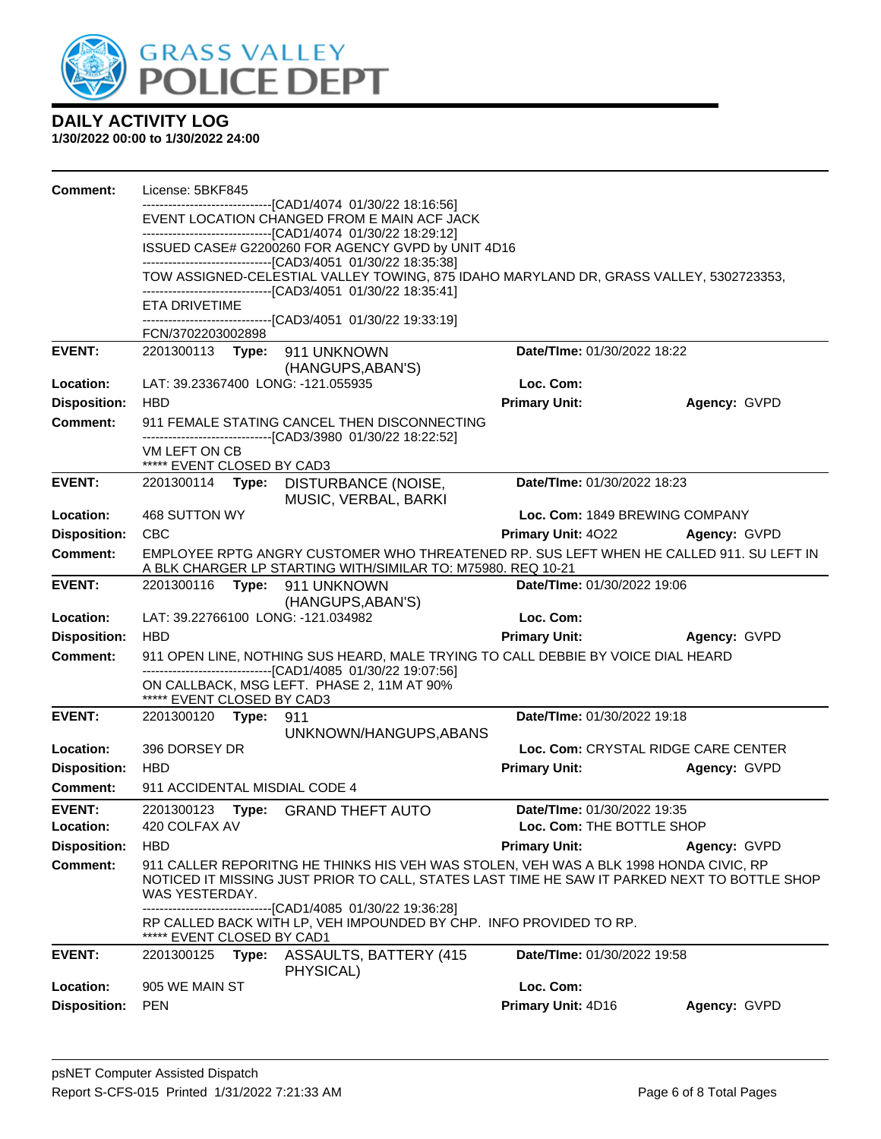

| <b>Comment:</b>                        | License: 5BKF845                            |       |                                                                                                                                                          |                                                          |                                     |
|----------------------------------------|---------------------------------------------|-------|----------------------------------------------------------------------------------------------------------------------------------------------------------|----------------------------------------------------------|-------------------------------------|
|                                        |                                             |       | -------------------------------[CAD1/4074_01/30/22 18:16:56]<br>EVENT LOCATION CHANGED FROM E MAIN ACF JACK                                              |                                                          |                                     |
|                                        |                                             |       | -------------------------------[CAD1/4074 01/30/22 18:29:12]                                                                                             |                                                          |                                     |
|                                        |                                             |       | ISSUED CASE# G2200260 FOR AGENCY GVPD by UNIT 4D16                                                                                                       |                                                          |                                     |
|                                        |                                             |       | ---------------------------------[CAD3/4051 01/30/22 18:35:38]<br>TOW ASSIGNED-CELESTIAL VALLEY TOWING, 875 IDAHO MARYLAND DR, GRASS VALLEY, 5302723353, |                                                          |                                     |
|                                        |                                             |       | -------------------------------[CAD3/4051 01/30/22 18:35:41]                                                                                             |                                                          |                                     |
|                                        | ETA DRIVETIME                               |       | -------------------------------[CAD3/4051_01/30/22 19:33:19]                                                                                             |                                                          |                                     |
|                                        | FCN/3702203002898                           |       |                                                                                                                                                          |                                                          |                                     |
| <b>EVENT:</b>                          |                                             |       | 2201300113 Type: 911 UNKNOWN                                                                                                                             | Date/TIme: 01/30/2022 18:22                              |                                     |
| Location:                              |                                             |       | (HANGUPS, ABAN'S)<br>LAT: 39.23367400 LONG: -121.055935                                                                                                  | Loc. Com:                                                |                                     |
| <b>Disposition:</b>                    | <b>HBD</b>                                  |       |                                                                                                                                                          | <b>Primary Unit:</b>                                     | Agency: GVPD                        |
| <b>Comment:</b>                        |                                             |       | 911 FEMALE STATING CANCEL THEN DISCONNECTING                                                                                                             |                                                          |                                     |
|                                        | VM LEFT ON CB                               |       | ------------------------------[CAD3/3980 01/30/22 18:22:52]                                                                                              |                                                          |                                     |
|                                        | ***** EVENT CLOSED BY CAD3                  |       |                                                                                                                                                          |                                                          |                                     |
| <b>EVENT:</b>                          |                                             |       | 2201300114 Type: DISTURBANCE (NOISE,<br>MUSIC, VERBAL, BARKI                                                                                             | Date/TIme: 01/30/2022 18:23                              |                                     |
| Location:                              | 468 SUTTON WY                               |       |                                                                                                                                                          | Loc. Com: 1849 BREWING COMPANY                           |                                     |
| <b>Disposition:</b>                    | <b>CBC</b>                                  |       |                                                                                                                                                          | <b>Primary Unit: 4022</b>                                | Agency: GVPD                        |
| <b>Comment:</b>                        |                                             |       | EMPLOYEE RPTG ANGRY CUSTOMER WHO THREATENED RP. SUS LEFT WHEN HE CALLED 911. SU LEFT IN<br>A BLK CHARGER LP STARTING WITH/SIMILAR TO: M75980. REQ 10-21  |                                                          |                                     |
| <b>EVENT:</b>                          |                                             |       | 2201300116 Type: 911 UNKNOWN                                                                                                                             | Date/TIme: 01/30/2022 19:06                              |                                     |
| Location:                              |                                             |       | (HANGUPS, ABAN'S)<br>LAT: 39.22766100 LONG: -121.034982                                                                                                  | Loc. Com:                                                |                                     |
| <b>Disposition:</b>                    | <b>HBD</b>                                  |       |                                                                                                                                                          | <b>Primary Unit:</b>                                     | Agency: GVPD                        |
| <b>Comment:</b>                        |                                             |       | 911 OPEN LINE, NOTHING SUS HEARD, MALE TRYING TO CALL DEBBIE BY VOICE DIAL HEARD                                                                         |                                                          |                                     |
|                                        |                                             |       | -------------------------------[CAD1/4085 01/30/22 19:07:56]                                                                                             |                                                          |                                     |
|                                        | ***** EVENT CLOSED BY CAD3                  |       | ON CALLBACK, MSG LEFT. PHASE 2, 11M AT 90%                                                                                                               |                                                          |                                     |
| <b>EVENT:</b>                          | 2201300120 <b>Type:</b>                     |       | 911                                                                                                                                                      | Date/TIme: 01/30/2022 19:18                              |                                     |
|                                        |                                             |       | UNKNOWN/HANGUPS, ABANS                                                                                                                                   |                                                          |                                     |
| Location:                              | 396 DORSEY DR                               |       |                                                                                                                                                          |                                                          | Loc. Com: CRYSTAL RIDGE CARE CENTER |
| <b>Disposition:</b><br><b>Comment:</b> | <b>HBD</b><br>911 ACCIDENTAL MISDIAL CODE 4 |       |                                                                                                                                                          | <b>Primary Unit:</b>                                     | Agency: GVPD                        |
|                                        |                                             |       |                                                                                                                                                          |                                                          |                                     |
| <b>EVENT:</b><br>Location:             | 420 COLFAX AV                               |       | 2201300123 Type: GRAND THEFT AUTO                                                                                                                        | Date/TIme: 01/30/2022 19:35<br>Loc. Com: THE BOTTLE SHOP |                                     |
| <b>Disposition:</b>                    | <b>HBD</b>                                  |       |                                                                                                                                                          | <b>Primary Unit:</b>                                     | Agency: GVPD                        |
| <b>Comment:</b>                        |                                             |       | 911 CALLER REPORITNG HE THINKS HIS VEH WAS STOLEN, VEH WAS A BLK 1998 HONDA CIVIC, RP                                                                    |                                                          |                                     |
|                                        | WAS YESTERDAY.                              |       | NOTICED IT MISSING JUST PRIOR TO CALL, STATES LAST TIME HE SAW IT PARKED NEXT TO BOTTLE SHOP                                                             |                                                          |                                     |
|                                        | EVENT CLOSED BY CAD1                        |       | -------------------------------[CAD1/4085 01/30/22 19:36:28]<br>RP CALLED BACK WITH LP, VEH IMPOUNDED BY CHP. INFO PROVIDED TO RP.                       |                                                          |                                     |
| <b>EVENT:</b>                          | 2201300125                                  | Type: | ASSAULTS, BATTERY (415<br>PHYSICAL)                                                                                                                      | Date/TIme: 01/30/2022 19:58                              |                                     |
| Location:                              | 905 WE MAIN ST                              |       |                                                                                                                                                          | Loc. Com:                                                |                                     |
| <b>Disposition:</b>                    | <b>PEN</b>                                  |       |                                                                                                                                                          | Primary Unit: 4D16                                       | Agency: GVPD                        |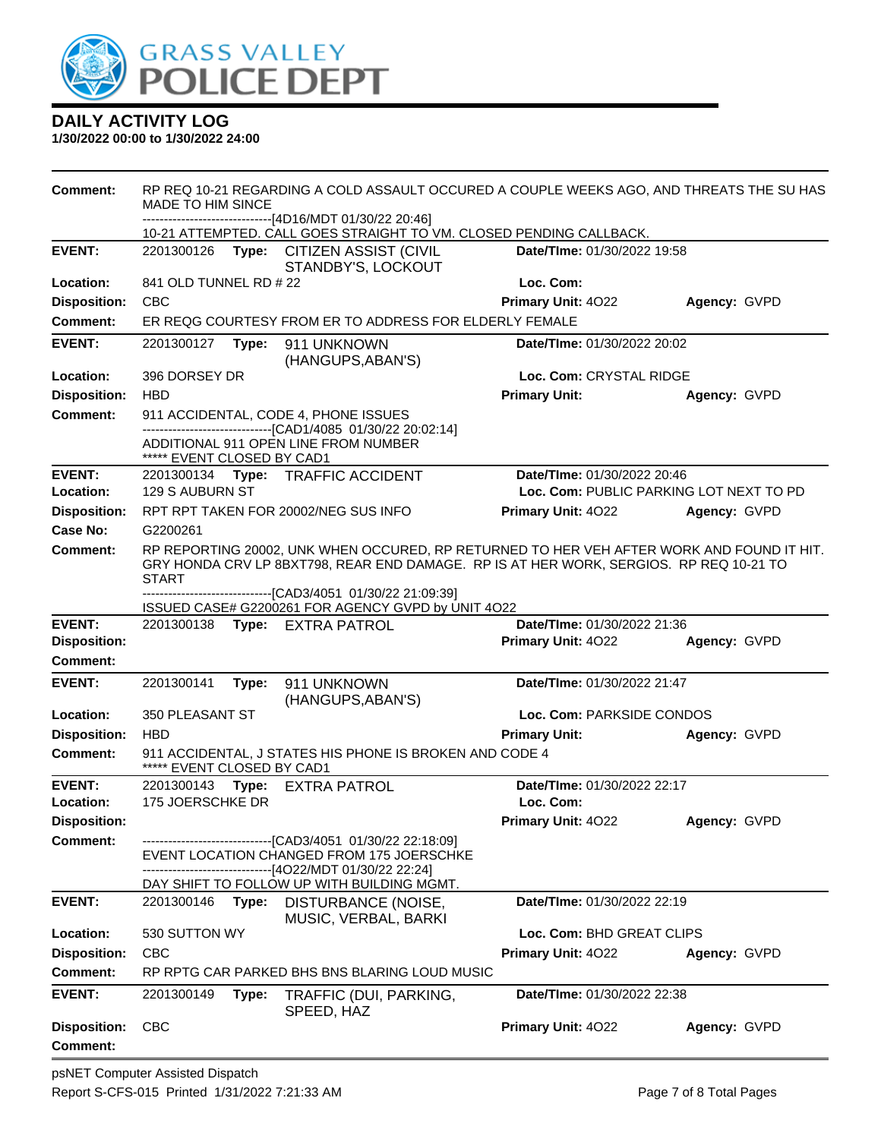

| <b>Comment:</b>                        | RP REQ 10-21 REGARDING A COLD ASSAULT OCCURED A COUPLE WEEKS AGO, AND THREATS THE SU HAS<br>MADE TO HIM SINCE<br>------------------------[4D16/MDT 01/30/22 20:46]                                  |       |                                                                                                             |                             |                                         |  |
|----------------------------------------|-----------------------------------------------------------------------------------------------------------------------------------------------------------------------------------------------------|-------|-------------------------------------------------------------------------------------------------------------|-----------------------------|-----------------------------------------|--|
|                                        | 10-21 ATTEMPTED. CALL GOES STRAIGHT TO VM. CLOSED PENDING CALLBACK.                                                                                                                                 |       |                                                                                                             |                             |                                         |  |
| <b>EVENT:</b>                          | Date/TIme: 01/30/2022 19:58<br>2201300126 Type:<br><b>CITIZEN ASSIST (CIVIL</b><br>STANDBY'S, LOCKOUT                                                                                               |       |                                                                                                             |                             |                                         |  |
| Location:                              | 841 OLD TUNNEL RD # 22                                                                                                                                                                              |       |                                                                                                             | Loc. Com:                   |                                         |  |
| <b>Disposition:</b>                    | <b>CBC</b>                                                                                                                                                                                          |       |                                                                                                             | Primary Unit: 4022          | Agency: GVPD                            |  |
| Comment:                               |                                                                                                                                                                                                     |       | ER REQG COURTESY FROM ER TO ADDRESS FOR ELDERLY FEMALE                                                      |                             |                                         |  |
| <b>EVENT:</b>                          | 2201300127 Type:                                                                                                                                                                                    |       | 911 UNKNOWN<br>(HANGUPS, ABAN'S)                                                                            | Date/TIme: 01/30/2022 20:02 |                                         |  |
| Location:                              | 396 DORSEY DR                                                                                                                                                                                       |       |                                                                                                             | Loc. Com: CRYSTAL RIDGE     |                                         |  |
| <b>Disposition:</b>                    | <b>HBD</b>                                                                                                                                                                                          |       |                                                                                                             | <b>Primary Unit:</b>        | Agency: GVPD                            |  |
| <b>Comment:</b>                        |                                                                                                                                                                                                     |       | 911 ACCIDENTAL, CODE 4, PHONE ISSUES<br>------------------------------[CAD1/4085 01/30/22 20:02:14]         |                             |                                         |  |
|                                        | ***** EVENT CLOSED BY CAD1                                                                                                                                                                          |       | ADDITIONAL 911 OPEN LINE FROM NUMBER                                                                        |                             |                                         |  |
| <b>EVENT:</b>                          |                                                                                                                                                                                                     |       | 2201300134 Type: TRAFFIC ACCIDENT                                                                           | Date/TIme: 01/30/2022 20:46 |                                         |  |
| Location:                              | 129 S AUBURN ST                                                                                                                                                                                     |       |                                                                                                             |                             | Loc. Com: PUBLIC PARKING LOT NEXT TO PD |  |
| <b>Disposition:</b>                    |                                                                                                                                                                                                     |       | RPT RPT TAKEN FOR 20002/NEG SUS INFO                                                                        | Primary Unit: 4022          | Agency: GVPD                            |  |
| <b>Case No:</b>                        | G2200261                                                                                                                                                                                            |       |                                                                                                             |                             |                                         |  |
| Comment:                               | RP REPORTING 20002, UNK WHEN OCCURED, RP RETURNED TO HER VEH AFTER WORK AND FOUND IT HIT.<br>GRY HONDA CRV LP 8BXT798, REAR END DAMAGE. RP IS AT HER WORK, SERGIOS. RP REQ 10-21 TO<br><b>START</b> |       |                                                                                                             |                             |                                         |  |
|                                        |                                                                                                                                                                                                     |       | -------------------------------[CAD3/4051_01/30/22 21:09:39]                                                |                             |                                         |  |
|                                        | ISSUED CASE# G2200261 FOR AGENCY GVPD by UNIT 4O22                                                                                                                                                  |       |                                                                                                             |                             |                                         |  |
|                                        |                                                                                                                                                                                                     |       |                                                                                                             |                             |                                         |  |
| <b>EVENT:</b>                          |                                                                                                                                                                                                     |       | 2201300138 Type: EXTRA PATROL                                                                               | Date/TIme: 01/30/2022 21:36 |                                         |  |
| <b>Disposition:</b><br><b>Comment:</b> |                                                                                                                                                                                                     |       |                                                                                                             | Primary Unit: 4022          | Agency: GVPD                            |  |
|                                        |                                                                                                                                                                                                     |       |                                                                                                             |                             |                                         |  |
| <b>EVENT:</b>                          | 2201300141                                                                                                                                                                                          | Type: | 911 UNKNOWN                                                                                                 | Date/TIme: 01/30/2022 21:47 |                                         |  |
| Location:                              | 350 PLEASANT ST                                                                                                                                                                                     |       | (HANGUPS, ABAN'S)                                                                                           | Loc. Com: PARKSIDE CONDOS   |                                         |  |
| <b>Disposition:</b>                    | <b>HBD</b>                                                                                                                                                                                          |       |                                                                                                             | <b>Primary Unit:</b>        | Agency: GVPD                            |  |
| <b>Comment:</b>                        | ***** EVENT CLOSED BY CAD1                                                                                                                                                                          |       | 911 ACCIDENTAL, J STATES HIS PHONE IS BROKEN AND CODE 4                                                     |                             |                                         |  |
| <b>EVENT:</b>                          | 2201300143 Type:                                                                                                                                                                                    |       | <b>EXTRA PATROL</b>                                                                                         | Date/TIme: 01/30/2022 22:17 |                                         |  |
| Location:                              | 175 JOERSCHKE DR                                                                                                                                                                                    |       |                                                                                                             | Loc. Com:                   |                                         |  |
| <b>Disposition:</b>                    |                                                                                                                                                                                                     |       |                                                                                                             | Primary Unit: 4022          | Agency: GVPD                            |  |
| Comment:                               |                                                                                                                                                                                                     |       | ---------------------------------[CAD3/4051 01/30/22 22:18:09]<br>EVENT LOCATION CHANGED FROM 175 JOERSCHKE |                             |                                         |  |
|                                        |                                                                                                                                                                                                     |       | -------[4O22/MDT 01/30/22 22:24]<br>DAY SHIFT TO FOLLOW UP WITH BUILDING MGMT.                              |                             |                                         |  |
| <b>EVENT:</b>                          | 2201300146                                                                                                                                                                                          |       | Type: DISTURBANCE (NOISE,                                                                                   | Date/TIme: 01/30/2022 22:19 |                                         |  |
| Location:                              | 530 SUTTON WY                                                                                                                                                                                       |       | MUSIC, VERBAL, BARKI                                                                                        | Loc. Com: BHD GREAT CLIPS   |                                         |  |
| <b>Disposition:</b>                    | <b>CBC</b>                                                                                                                                                                                          |       |                                                                                                             | Primary Unit: 4022          | Agency: GVPD                            |  |
| <b>Comment:</b>                        |                                                                                                                                                                                                     |       | RP RPTG CAR PARKED BHS BNS BLARING LOUD MUSIC                                                               |                             |                                         |  |
| <b>EVENT:</b>                          | 2201300149                                                                                                                                                                                          | Type: | TRAFFIC (DUI, PARKING,                                                                                      | Date/TIme: 01/30/2022 22:38 |                                         |  |
| <b>Disposition:</b>                    | <b>CBC</b>                                                                                                                                                                                          |       | SPEED, HAZ                                                                                                  | Primary Unit: 4022          | Agency: GVPD                            |  |